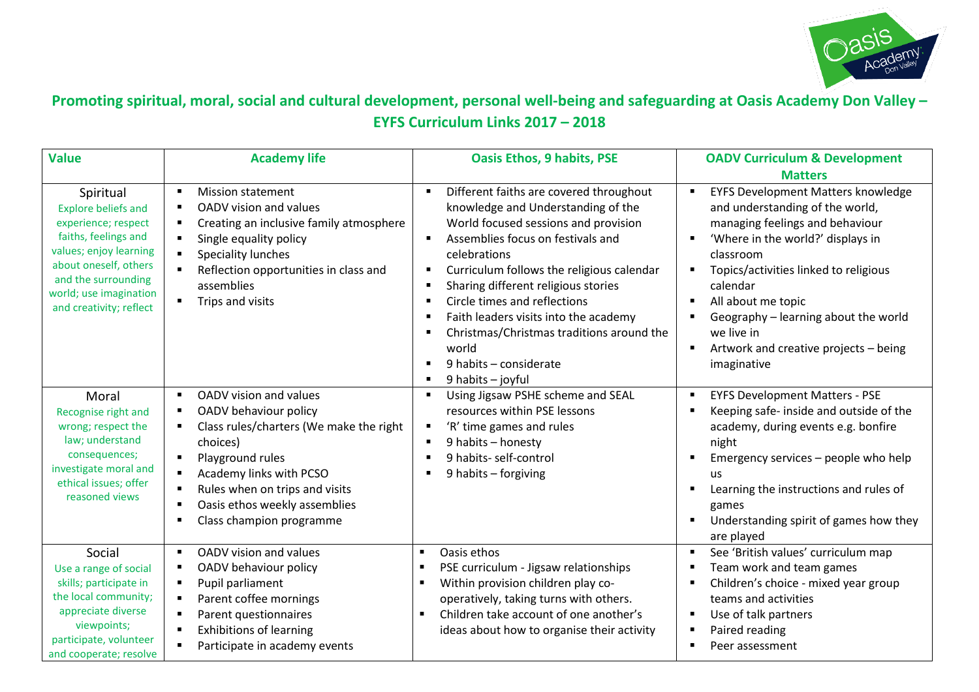

## **Promoting spiritual, moral, social and cultural development, personal well-being and safeguarding at Oasis Academy Don Valley – EYFS Curriculum Links 2017 – 2018**

| <b>Value</b>                                                                                                                                                                                                          | <b>Academy life</b>                                                                                                                                                                                                                                       | <b>Oasis Ethos, 9 habits, PSE</b>                                                                                                                                                                                                                                                                                                                                                                                                                                                                                                   | <b>OADV Curriculum &amp; Development</b>                                                                                                                                                                                                                                                                                                                                                                         |
|-----------------------------------------------------------------------------------------------------------------------------------------------------------------------------------------------------------------------|-----------------------------------------------------------------------------------------------------------------------------------------------------------------------------------------------------------------------------------------------------------|-------------------------------------------------------------------------------------------------------------------------------------------------------------------------------------------------------------------------------------------------------------------------------------------------------------------------------------------------------------------------------------------------------------------------------------------------------------------------------------------------------------------------------------|------------------------------------------------------------------------------------------------------------------------------------------------------------------------------------------------------------------------------------------------------------------------------------------------------------------------------------------------------------------------------------------------------------------|
| Spiritual<br><b>Explore beliefs and</b><br>experience; respect<br>faiths, feelings and<br>values; enjoy learning<br>about oneself, others<br>and the surrounding<br>world; use imagination<br>and creativity; reflect | <b>Mission statement</b><br>п<br>OADV vision and values<br>Creating an inclusive family atmosphere<br>Single equality policy<br><b>Speciality lunches</b><br>Reflection opportunities in class and<br>assemblies<br>Trips and visits                      | Different faiths are covered throughout<br>knowledge and Understanding of the<br>World focused sessions and provision<br>Assemblies focus on festivals and<br>$\blacksquare$<br>celebrations<br>Curriculum follows the religious calendar<br>п<br>Sharing different religious stories<br>$\blacksquare$<br>Circle times and reflections<br>$\blacksquare$<br>Faith leaders visits into the academy<br>٠<br>Christmas/Christmas traditions around the<br>world<br>9 habits - considerate<br>$\blacksquare$<br>9 habits - joyful<br>٠ | <b>Matters</b><br><b>EYFS Development Matters knowledge</b><br>and understanding of the world,<br>managing feelings and behaviour<br>'Where in the world?' displays in<br>$\blacksquare$<br>classroom<br>Topics/activities linked to religious<br>calendar<br>All about me topic<br>Geography - learning about the world<br>we live in<br>Artwork and creative projects - being<br>$\blacksquare$<br>imaginative |
| Moral<br>Recognise right and<br>wrong; respect the<br>law; understand<br>consequences;<br>investigate moral and<br>ethical issues; offer<br>reasoned views                                                            | OADV vision and values<br>п<br>OADV behaviour policy<br>Class rules/charters (We make the right<br>choices)<br>Playground rules<br>Academy links with PCSO<br>Rules when on trips and visits<br>Oasis ethos weekly assemblies<br>Class champion programme | Using Jigsaw PSHE scheme and SEAL<br>$\blacksquare$<br>resources within PSE lessons<br>'R' time games and rules<br>٠<br>9 habits - honesty<br>9 habits- self-control<br>$\blacksquare$<br>9 habits - forgiving                                                                                                                                                                                                                                                                                                                      | <b>EYFS Development Matters - PSE</b><br>$\blacksquare$<br>Keeping safe- inside and outside of the<br>٠<br>academy, during events e.g. bonfire<br>night<br>Emergency services – people who help<br>$\blacksquare$<br>us<br>Learning the instructions and rules of<br>games<br>Understanding spirit of games how they<br>$\blacksquare$<br>are played                                                             |
| Social<br>Use a range of social<br>skills; participate in<br>the local community;<br>appreciate diverse<br>viewpoints;<br>participate, volunteer<br>and cooperate; resolve                                            | OADV vision and values<br>OADV behaviour policy<br>Pupil parliament<br>Parent coffee mornings<br>Parent questionnaires<br><b>Exhibitions of learning</b><br>Participate in academy events                                                                 | Oasis ethos<br>PSE curriculum - Jigsaw relationships<br>Within provision children play co-<br>operatively, taking turns with others.<br>Children take account of one another's<br>$\blacksquare$<br>ideas about how to organise their activity                                                                                                                                                                                                                                                                                      | See 'British values' curriculum map<br>п<br>Team work and team games<br>$\blacksquare$<br>Children's choice - mixed year group<br>teams and activities<br>Use of talk partners<br>$\blacksquare$<br>Paired reading<br>$\blacksquare$<br>Peer assessment<br>$\blacksquare$                                                                                                                                        |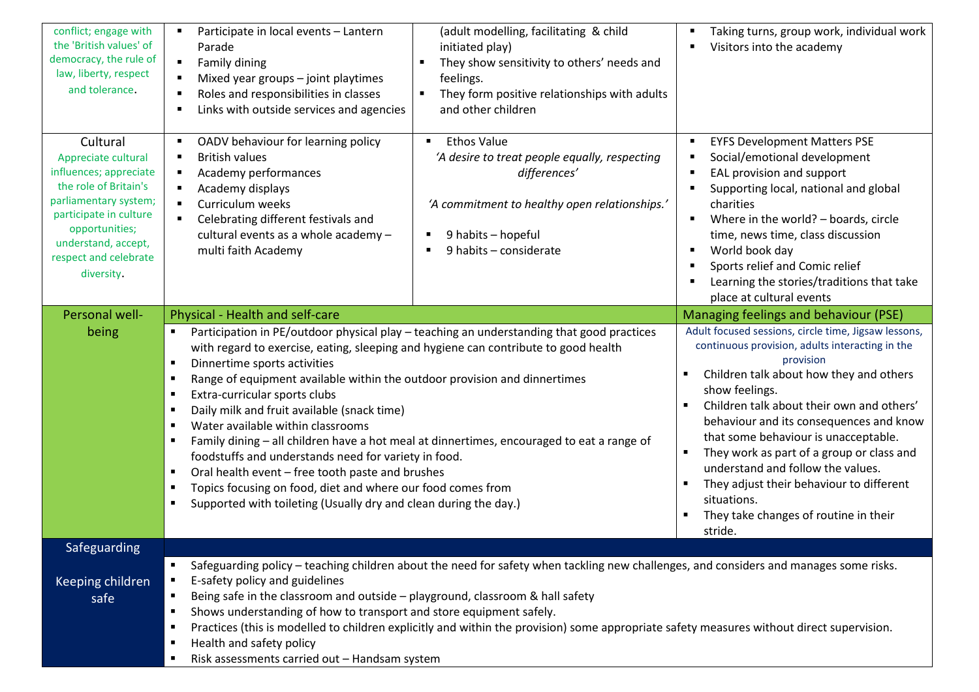| conflict; engage with<br>the 'British values' of<br>democracy, the rule of<br>law, liberty, respect<br>and tolerance.                                                                                                 | Participate in local events - Lantern<br>Parade<br>Family dining<br>$\blacksquare$<br>Mixed year groups - joint playtimes<br>Roles and responsibilities in classes<br>Links with outside services and agencies<br>п                                                                                                                                                                                                                                                                                                                                                                                                                                                                                                                                                                                                                                                                                   | (adult modelling, facilitating & child<br>initiated play)<br>They show sensitivity to others' needs and<br>п<br>feelings.<br>They form positive relationships with adults<br>and other children             | Taking turns, group work, individual work<br>٠<br>Visitors into the academy                                                                                                                                                                                                                                                                                                                                                                                                                                                                                 |
|-----------------------------------------------------------------------------------------------------------------------------------------------------------------------------------------------------------------------|-------------------------------------------------------------------------------------------------------------------------------------------------------------------------------------------------------------------------------------------------------------------------------------------------------------------------------------------------------------------------------------------------------------------------------------------------------------------------------------------------------------------------------------------------------------------------------------------------------------------------------------------------------------------------------------------------------------------------------------------------------------------------------------------------------------------------------------------------------------------------------------------------------|-------------------------------------------------------------------------------------------------------------------------------------------------------------------------------------------------------------|-------------------------------------------------------------------------------------------------------------------------------------------------------------------------------------------------------------------------------------------------------------------------------------------------------------------------------------------------------------------------------------------------------------------------------------------------------------------------------------------------------------------------------------------------------------|
| Cultural<br>Appreciate cultural<br>influences; appreciate<br>the role of Britain's<br>parliamentary system;<br>participate in culture<br>opportunities;<br>understand, accept,<br>respect and celebrate<br>diversity. | OADV behaviour for learning policy<br>$\blacksquare$<br><b>British values</b><br>п<br>Academy performances<br>$\blacksquare$<br>Academy displays<br>$\blacksquare$<br>Curriculum weeks<br>$\blacksquare$<br>Celebrating different festivals and<br>cultural events as a whole academy -<br>multi faith Academy                                                                                                                                                                                                                                                                                                                                                                                                                                                                                                                                                                                        | <b>Ethos Value</b><br>$\blacksquare$<br>'A desire to treat people equally, respecting<br>differences'<br>'A commitment to healthy open relationships.'<br>9 habits - hopeful<br>٠<br>9 habits - considerate | <b>EYFS Development Matters PSE</b><br>$\blacksquare$<br>Social/emotional development<br>٠<br>EAL provision and support<br>$\blacksquare$<br>Supporting local, national and global<br>$\blacksquare$<br>charities<br>Where in the world? - boards, circle<br>٠<br>time, news time, class discussion<br>World book day<br>٠<br>Sports relief and Comic relief<br>٠<br>Learning the stories/traditions that take<br>٠<br>place at cultural events                                                                                                             |
| Personal well-<br>being                                                                                                                                                                                               | Physical - Health and self-care<br>Participation in PE/outdoor physical play - teaching an understanding that good practices<br>with regard to exercise, eating, sleeping and hygiene can contribute to good health<br>Dinnertime sports activities<br>$\blacksquare$<br>Range of equipment available within the outdoor provision and dinnertimes<br>п<br>Extra-curricular sports clubs<br>$\blacksquare$<br>Daily milk and fruit available (snack time)<br>п<br>Water available within classrooms<br>$\blacksquare$<br>Family dining - all children have a hot meal at dinnertimes, encouraged to eat a range of<br>foodstuffs and understands need for variety in food.<br>Oral health event - free tooth paste and brushes<br>$\blacksquare$<br>Topics focusing on food, diet and where our food comes from<br>$\blacksquare$<br>Supported with toileting (Usually dry and clean during the day.) |                                                                                                                                                                                                             | Managing feelings and behaviour (PSE)<br>Adult focused sessions, circle time, Jigsaw lessons,<br>continuous provision, adults interacting in the<br>provision<br>Children talk about how they and others<br>show feelings.<br>Children talk about their own and others'<br>behaviour and its consequences and know<br>that some behaviour is unacceptable.<br>They work as part of a group or class and<br>understand and follow the values.<br>They adjust their behaviour to different<br>situations.<br>They take changes of routine in their<br>stride. |
| Safeguarding<br>Keeping children<br>safe                                                                                                                                                                              | Safeguarding policy - teaching children about the need for safety when tackling new challenges, and considers and manages some risks.<br>E-safety policy and guidelines<br>Being safe in the classroom and outside - playground, classroom & hall safety<br>Shows understanding of how to transport and store equipment safely.<br>Practices (this is modelled to children explicitly and within the provision) some appropriate safety measures without direct supervision.<br>Health and safety policy<br>Risk assessments carried out - Handsam system<br>л.                                                                                                                                                                                                                                                                                                                                       |                                                                                                                                                                                                             |                                                                                                                                                                                                                                                                                                                                                                                                                                                                                                                                                             |